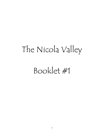# The Nicola Valley Booklet #1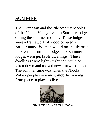# **SUMMER**

The Okanagan and the Nle?kepmx peoples of the Nicola Valley lived in Summer lodges during the summer months. These lodges were a framework of wood covered with bark or mats. Women would make tule mats to cover the summer lodge. The summer lodges were **portable** dwellings. These dwellings were lightweight and could be taken down and moved new a new location. The summer time was when the Nicola Valley people were most **mobile**, moving from place to place to live.



Early Nicola Valley residents (*NVAA*)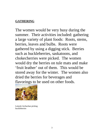#### **GATHERING**

The women would be very busy during the summer. Their activities included: gathering a large variety of plant foods: Roots, stems, berries, leaves and bulbs. Roots were gathered by using a digging stick. Berries such as huckleberries, saskatoons, and chokecherries were picked. The women would dry the berries on tule mats and make 'fruit leather' out of them. This would be stored away for the winter. The women also dried the berries for beverages and flavorings to be used on other foods.



Leteesh Archachan picking huckleberries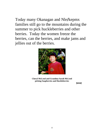Today many Okanagan and Nle**/**kepmx families still go to the mountains during the summer to pick huckleberries and other berries. Today the women freeze the berries, can the berries, and make jams and jellies out of the berries.



**Cheryl McLeod and Grandma Sarah McLeod picking Soapberries and Huckleberries**

 $\blacksquare$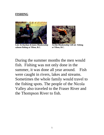#### **FISHING**



**Lois Archachan &James Blankenship Archie Blankenship Gill net fishing salmon fishing at Tilton, B.C. at Tilton, B.C.**



During the summer months the men would fish. Fishing was not only done in the summer, it was done all year around. Fish were caught in rivers, lakes and streams. Sometimes the whole family would travel to the fishing spots. The people of the Nicola Valley also traveled to the Fraser River and the Thompson River to fish.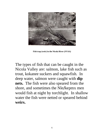

**Fish trap (weir) in the Nicola River (***NVAA)*

The types of fish that can be caught in the Nicola Valley are: salmon, lake fish such as trout, kokanee suckers and squawfish. In deep water, salmon were caught with **dip nets.** The fish were also speared from the shore, and sometimes the Nle**/**kepmx men would fish at night by torchlight. In shallow water the fish were netted or speared behind **weirs.**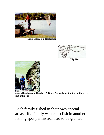

**Louis Elkins Dip Net fishing**



**Dip Net**



**James Blankenship, Candace & Bryce Archachan climbing up the steep embankment**

Each family fished in their own special areas. If a family wanted to fish in another's fishing spot permission had to be granted.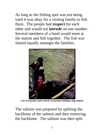As long as the fishing spot was not being used it was okay for a visiting family to fish there. The people had **respect** for each other and would not **intrude** on one another. Several members of a band would meet at the station and fish together. The fish was shared equally amongst the families.



**Lois Archachan and Leteesh Archachan holding a big salmon**

The salmon was prepared by splitting the backbone of the salmon and then removing the backbone. The salmon was then split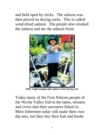and held open by sticks. The salmon was then placed on drying racks. This is called wind-dried salmon. The people also smoked the salmon and ate the salmon fresh.



**Dolly Voght hanging split salmon to the drying rack**

Today many of the First Nations people of the Nicola Valley fish in the lakes, streams and rivers that their ancestors fished in. Most fishermen today still make their own dip nets, but they buy their bait and hooks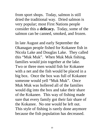from sport shops. Today, salmon is still dried the traditional way. Dried salmon is very popular; most First Nations people consider this a **delicacy.** Today, some of the salmon can be canned, smoked, and frozen.

In late August and early September the Okanagan people fished for Kokanee fish in Nicola Lake and Douglas Lake. They called this "Muk Muk". When Muk Muk fishing, families would join together at the lake. Two or three men would fish for Kokanee with a net and the fish would be placed in a big box. Once the box was full of Kokanee someone would yell "Muk Muk". Once Muk Muk was hollered all of the families would dig into the box and take their share of the Kokanee. This way of fishing made sure that every family got their fair share of the Kokanee. No one would be left out. This style of fishing is rarely done anymore because the fish population has decreased.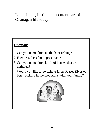Lake fishing is still an important part of Okanagan life today.

# **Questions**

- 1.Can you name three methods of fishing?
- 2. How was the salmon preserved?
- 3.Can you name three kinds of berries that are gathered?
- 4.Would you like to go fishing in the Fraser River or berry picking in the mountains with your family?

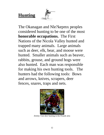# **Hunting**



The Okanagan and Nle?kepmx peoples considered hunting to be one of the most **honorable occupations.** The First Nations of the Nicola Valley hunted and trapped many animals. Large animals such as deer, elk, bear, and moose were hunted. Smaller animals such as beaver, rabbits, grouse, and ground hogs were also hunted. Each man was responsible for making his own hunting tools. The hunters had the following tools: Bows and arrows, knives, scrapers, deer fences, snares, traps and nets.



Jeremy Tom deer hunting in the Penask area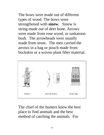The bows were made out of different types of wood. The bows were strengthened with **sinew.** Sinew is string made out of deer bone. Arrows were made from rose wood, or saskatoon bush. The arrowheads were usually made from stone. The men carried the arrows in a bag or pouch made from buckskin or a woven plant fiber material.



The chief of the hunters knew the best place to find animals and the best method of catching the animals. For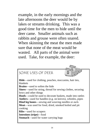example, in the early mornings and the late afternoons the deer would be by lakes or streams drinking. This was a good time for the men to hide until the deer came. Smaller animals such as rabbits and grouse were often snared. When skinning the meat the men made sure that none of the meat would be wasted. All parts of the animal were used. Take, for example, the deer:

# SOME USES OF DEER

**Hide**—used for clothing, pouches, moccasins, hair ties, blankets **Brains**—used to soften the hide **Sinew**—used for string, thread for sewing clothes, securing bows and other things **Hoofs**—could be used to decorate baskets, made into rattles **Antlers**—used for handles (e.g. on knives), whistles, pipes **Hind leg bones**—sewing and weaving needles or awls **Meat**—was used for food, dried, smoked boiled and pit cooking **Ribs**—used for scrapers **Intestines (tripe)**—food **Stomach**—used for water carrying bags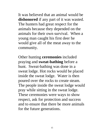It was believed that an animal would be **dishonored** if any part of it was wasted. The hunters had great respect for the animals because they depended on the animals for their own survival. When a young man caught his first deer he would give all of the meat away to the community.

Other hunting **ceremonies** included praying and **sweat-bathing** before a hunt. Sweat-bathing was done in a sweat lodge. Hot rocks would be placed inside the sweat lodge. Water is then poured over the rocks to create steam. The people inside the sweat lodge would pray while sitting in the sweat lodge. These ceremonies were ways to show respect, ask for protection and success and to ensure that there be more animals for the future generations.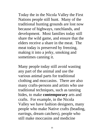Today the in the Nicola Valley the First Nations people still hunt. Many of the traditional hunting grounds are lost now because of highways, ranchlands, and development. Most families today still share the wild game, and ensure that the elders receive a share in the meat. The meat today is preserved by freezing, making it into a jerky, smoking and sometimes canning it.

Many people today still avoid wasting any part of the animal and use the various animal parts for traditional clothing and moccasins. There are also many crafts-persons and artists who use traditional techniques, such as tanning hides, to make **contemporary** arts and crafts. For example, in the Nicola Valley we have fashion designers, many people who make Native crafts (beading, earrings, dream catchers), people who still make moccasins and medicine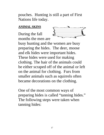pouches. Hunting is still a part of First Nations life today.

#### **ANIMAL SKINS**

During the fall months the men are



busy hunting and the women are busy preparing the hides. The deer, moose and elk hides were important hides. These hides were used for making clothing. The hair of the animals could be either scraped off of the animal or left on the animal for clothing. Furs from smaller animals such as squirrels often became decorations on the clothing.

One of the most common ways of preparing hides is called "tanning hides." The following steps were taken when tanning hides: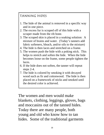## TANNING HIDES

- 1. The hide of the animal is removed in a specific way and in one piece.
- 2. The excess fur is scraped off of this hide with a scraper made from the rib bone.
- 3. The scraped skin is placed in a soaking solution: A mixture of brains and water. (Today's tanners add fabric softeners, bleach, and/or oils to the mixture)
- 4. The hide is then laces and stretched on a frame.
- 5. The women push the hide with a poking stick. This helps to stretch and soften the hide. When the hide becomes loose on the frame, some people tighten the laces.
- 6. If the hide does not soften, the tanner will repeat steps 2-4.
- 7. The hide is colored by smoking it with decayed wood such as fir and cottonwood. The hide is then placed on a framework of sticks and smoked until the desired color is achieved.

The women and men would make blankets, clothing, leggings, gloves, bags and moccasins out of the tanned hides. Today there are many people, both young and old who know how to tan hides. Some of the traditional garments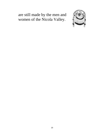# are still made by the men and women of the Nicola Valley.

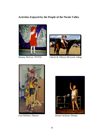#### **Activities Enjoyed by the People of the Nicola Valley**





Shanny McIvor: NVFSC Cheryl & Allison McLeod: riding





Ivan Holmes: Dancer Naomi Jackson: Drama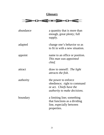## **Glossary**



| abundance | a quantity that is more than<br>enough, great plenty; full<br>supply.                                                        |
|-----------|------------------------------------------------------------------------------------------------------------------------------|
| adapted   | change one's behavior so as<br>to fit in with a new situation.                                                               |
| appoint   | name to an office or position.<br>This man was appointed<br>chief.                                                           |
| attract   | draw to oneself: <i>The light</i><br><i>attracts the fish.</i>                                                               |
| authority | the power to enforce<br>obedience; right to command<br>or act. <i>Chiefs have the</i><br><i>authority to make decisions.</i> |
| boundary  | a limiting line; something<br>that functions as a dividing<br>line, especially between<br>properties.                        |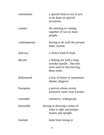| ceremonies   | a special form or set of acts<br>to be done on special<br>occasions.                             |
|--------------|--------------------------------------------------------------------------------------------------|
| contact      | the meeting or coming<br>together of two or more<br>people.                                      |
| contemporary | having to do with the present<br>time; current.                                                  |
| delicacy     | a choice kind of food.                                                                           |
| dip net      | a fishing net with a long<br>wooden handle. Dip nets<br>were used in fast moving,<br>deep water. |
| dishonored   | a loss of honor or reputation;<br>shame; disgrace.                                               |
| European     | a person whose recent<br>ancestors came from Europe.                                             |
| extended     | extensive; widespread.                                                                           |
| honorable    | having or showing a sense of<br>what is right and proper;<br>honest and upright.                 |
| insulate     | keep from losing or                                                                              |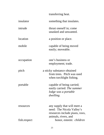## transferring heat.

| insulator    | something that insulates.                                                                                            |
|--------------|----------------------------------------------------------------------------------------------------------------------|
| intrude      | thrust oneself in; come<br>unasked and unwanted.                                                                     |
| location     | a position or place.                                                                                                 |
| mobile       | capable of being moved<br>easily; moveable.                                                                          |
| occupation   | one's business or<br>employment; trade.                                                                              |
| pitch        | a sticky substance obtained<br>from trees. Pitch was used<br>when torchlight fishing.                                |
| portable     | capable of being carried;<br>easily carried: The summer<br>lodge was a portable<br>dwelling.                         |
| resources    | any supply that will meet a<br>need: The Nicola Valley's<br>resources include plants, trees,<br>animals, rivers, and |
| fish.respect | honor, esteem: <i>children</i>                                                                                       |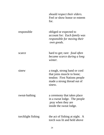|                    | should respect their elders.<br>Feel or show honor or esteem<br>for.                                                                |
|--------------------|-------------------------------------------------------------------------------------------------------------------------------------|
| responsible        | obliged or expected to<br>account for: <i>Each family was</i><br>responsible for moving their<br>own goods.                         |
| scarce             | hard to get; rare: <i>food often</i><br>became scarce during a long<br>winter.                                                      |
| sinew              | a tough, strong band or cord<br>that joins muscle to bone;<br>tendon: First Nations people<br>made a strong thread out of<br>sinew. |
| sweat-bathing      | a ceremony that takes place<br>in a sweat lodge. The people<br>pray when they are<br>inside the sweat lodge.                        |
| torchlight fishing | the act of fishing at night. A<br>torch was lit and held above                                                                      |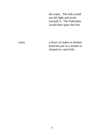the water. The fish would see the light and swim towards it. The fishermen would then spear the fish.

weirs a fence of stakes or broken branches put in a stream or channel to catch fish.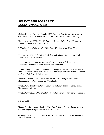#### *SELECT BIBLIOGRAPHY BOOKS AND ARTICLES:*

Caduto, Michael, Bruchac, Joseph. 1989. *Keepers of the Earth: Native Stories and Environmental Activities for Children.* Sask.: Fifth House Publishing.

Kirkness, Verna. 1992. *First Nations and Schools: Triumphs and Struggles.*  Toronto: Canadian Education Association.

M'Gonigle, M., Wickwire, W. 1989. *Stein, The Way of the River.* Vancouver: Talonbooks.

Teit, James. 1898. *Folk-Tales of Salishan and Sahaptin Tribes.* New York: American Folk-Lore Society.

Tepper, Leslie H. 1994. *Earthline and Morning Star: Nlhakapmx Clothing Traditions.* Quebec: Canadian Museum of Civilization.

Turner, Nancy., Thompson, Laurence C., Thompson, Terry M., & York, Annie Z. 1990. *Thompson Ethnobotany: Knowledge and Usage of Plants by the Thompson Indians of BC.* Royal B.C. Museum.

Wickwire, Wendy. 1989. *Write it on Your Heart: The Epic World of an Okanagan Storyteller.* Vancouver: Talonbooks.

Wyatt, Dave. *Handbook of North American Indians: The Thompson Indians.*  University of Victoria.

Wyatt, D., Wyatt, J. 1971. *Nicola Valley Indian History.* University of Victoria.

#### *STORIES:*

Hanna, Darwin., Henry, Mamie. 1996. *Our Tellings: Interior Salish Stories of the Nlha7kapmx People.* University of B.C. Press.

Okanagan Tribal Council. 1984. *How Turtle Set The Animals Free.* Penticton, B.C.: Theytus Books.